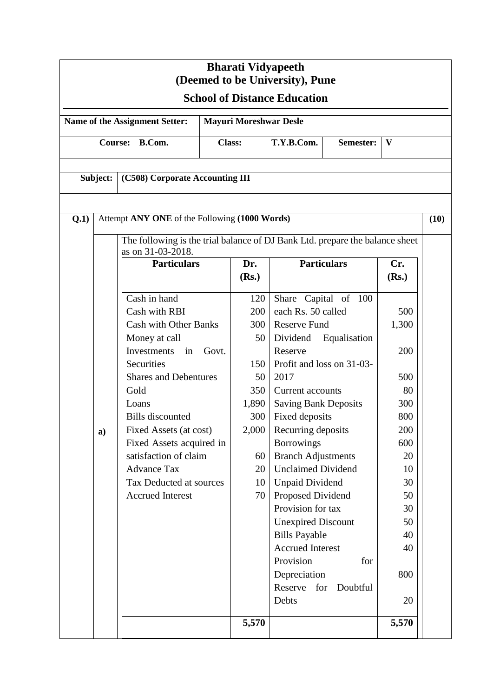| <b>Bharati Vidyapeeth</b><br>(Deemed to be University), Pune |    |                                                                                                   |                               |                                         |                             |       |      |  |  |
|--------------------------------------------------------------|----|---------------------------------------------------------------------------------------------------|-------------------------------|-----------------------------------------|-----------------------------|-------|------|--|--|
| <b>School of Distance Education</b>                          |    |                                                                                                   |                               |                                         |                             |       |      |  |  |
|                                                              |    | Name of the Assignment Setter:                                                                    | <b>Mayuri Moreshwar Desle</b> |                                         |                             |       |      |  |  |
| <b>Course:</b><br>B.Com.                                     |    |                                                                                                   | <b>Class:</b>                 | T.Y.B.Com.<br>$\mathbf{V}$<br>Semester: |                             |       |      |  |  |
| Subject:                                                     |    | (C508) Corporate Accounting III                                                                   |                               |                                         |                             |       |      |  |  |
| Q.1)                                                         |    | Attempt ANY ONE of the Following (1000 Words)                                                     |                               |                                         |                             |       | (10) |  |  |
|                                                              |    | The following is the trial balance of DJ Bank Ltd. prepare the balance sheet<br>as on 31-03-2018. |                               |                                         |                             |       |      |  |  |
|                                                              |    | <b>Particulars</b>                                                                                |                               | Dr.                                     | <b>Particulars</b>          | Cr.   |      |  |  |
|                                                              |    |                                                                                                   |                               | (Rs.)                                   |                             | (Rs.) |      |  |  |
|                                                              |    | Cash in hand                                                                                      |                               | 120                                     | Share Capital of 100        |       |      |  |  |
|                                                              |    | Cash with RBI                                                                                     |                               | 200                                     | each Rs. 50 called          | 500   |      |  |  |
|                                                              |    | <b>Cash with Other Banks</b>                                                                      |                               | 300                                     | <b>Reserve Fund</b>         | 1,300 |      |  |  |
|                                                              |    | Money at call                                                                                     |                               | 50                                      | Dividend<br>Equalisation    |       |      |  |  |
|                                                              |    | Investments<br>in                                                                                 | Govt.                         |                                         | Reserve                     | 200   |      |  |  |
|                                                              |    | Securities                                                                                        |                               | 150                                     | Profit and loss on 31-03-   |       |      |  |  |
|                                                              |    | <b>Shares and Debentures</b>                                                                      |                               | 50                                      | 2017                        | 500   |      |  |  |
|                                                              |    | Gold                                                                                              |                               | 350                                     | Current accounts            | 80    |      |  |  |
|                                                              |    | Loans                                                                                             |                               | 1,890                                   | <b>Saving Bank Deposits</b> | 300   |      |  |  |
|                                                              |    | <b>Bills</b> discounted                                                                           |                               | 300                                     | Fixed deposits              | 800   |      |  |  |
|                                                              | a) | Fixed Assets (at cost)                                                                            |                               | 2,000                                   | Recurring deposits          | 200   |      |  |  |
|                                                              |    | Fixed Assets acquired in                                                                          |                               |                                         | <b>Borrowings</b>           | 600   |      |  |  |
|                                                              |    | satisfaction of claim                                                                             |                               | 60                                      | <b>Branch Adjustments</b>   | 20    |      |  |  |
|                                                              |    | <b>Advance Tax</b>                                                                                |                               | 20                                      | <b>Unclaimed Dividend</b>   | 10    |      |  |  |
|                                                              |    | Tax Deducted at sources                                                                           |                               | 10                                      | <b>Unpaid Dividend</b>      | 30    |      |  |  |
|                                                              |    | <b>Accrued Interest</b>                                                                           |                               | 70                                      | Proposed Dividend           | 50    |      |  |  |
|                                                              |    |                                                                                                   |                               |                                         | Provision for tax           | 30    |      |  |  |
|                                                              |    |                                                                                                   |                               |                                         | <b>Unexpired Discount</b>   | 50    |      |  |  |
|                                                              |    |                                                                                                   |                               |                                         | <b>Bills Payable</b>        | 40    |      |  |  |
|                                                              |    |                                                                                                   |                               |                                         | <b>Accrued Interest</b>     | 40    |      |  |  |
|                                                              |    |                                                                                                   |                               |                                         | Provision<br>for            |       |      |  |  |
|                                                              |    |                                                                                                   |                               |                                         | Depreciation                | 800   |      |  |  |
|                                                              |    |                                                                                                   |                               |                                         | Reserve<br>for<br>Doubtful  |       |      |  |  |
|                                                              |    |                                                                                                   |                               |                                         | Debts                       | 20    |      |  |  |
|                                                              |    |                                                                                                   |                               | 5,570                                   |                             | 5,570 |      |  |  |
|                                                              |    |                                                                                                   |                               |                                         |                             |       |      |  |  |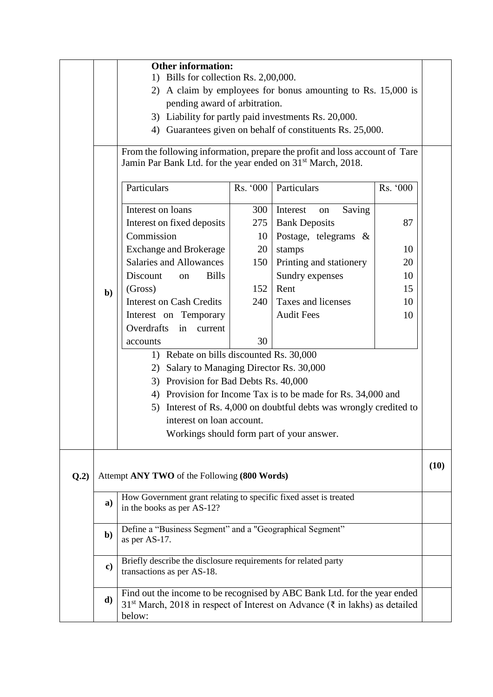|      |               | <b>Other information:</b><br>1) Bills for collection Rs. 2,00,000.<br>2) A claim by employees for bonus amounting to Rs. 15,000 is<br>pending award of arbitration.<br>3) Liability for partly paid investments Rs. 20,000.<br>4) Guarantees given on behalf of constituents Rs. 25,000.<br>From the following information, prepare the profit and loss account of Tare<br>Jamin Par Bank Ltd. for the year ended on 31 <sup>st</sup> March, 2018.<br>Particulars<br>Rs. '000<br>Particulars<br>Rs. '000 |                  |                                                                          |    |  |  |  |  |
|------|---------------|----------------------------------------------------------------------------------------------------------------------------------------------------------------------------------------------------------------------------------------------------------------------------------------------------------------------------------------------------------------------------------------------------------------------------------------------------------------------------------------------------------|------------------|--------------------------------------------------------------------------|----|--|--|--|--|
|      |               | Interest on loans<br>Interest on fixed deposits<br>Commission                                                                                                                                                                                                                                                                                                                                                                                                                                            | 300<br>275<br>10 | Interest<br>Saving<br>on<br><b>Bank Deposits</b><br>Postage, telegrams & | 87 |  |  |  |  |
|      |               | <b>Exchange and Brokerage</b>                                                                                                                                                                                                                                                                                                                                                                                                                                                                            | 20               | stamps                                                                   | 10 |  |  |  |  |
|      |               | <b>Salaries and Allowances</b>                                                                                                                                                                                                                                                                                                                                                                                                                                                                           | 150              | Printing and stationery                                                  | 20 |  |  |  |  |
|      |               | <b>Bills</b><br>Discount<br>on                                                                                                                                                                                                                                                                                                                                                                                                                                                                           |                  | Sundry expenses                                                          | 10 |  |  |  |  |
|      | $b$           | (Gross)                                                                                                                                                                                                                                                                                                                                                                                                                                                                                                  | 152              | Rent                                                                     | 15 |  |  |  |  |
|      |               | <b>Interest on Cash Credits</b>                                                                                                                                                                                                                                                                                                                                                                                                                                                                          | 240              | Taxes and licenses                                                       | 10 |  |  |  |  |
|      |               | Interest on Temporary<br>Overdrafts<br>in                                                                                                                                                                                                                                                                                                                                                                                                                                                                |                  | <b>Audit Fees</b>                                                        | 10 |  |  |  |  |
|      |               | current<br>accounts                                                                                                                                                                                                                                                                                                                                                                                                                                                                                      | 30               |                                                                          |    |  |  |  |  |
|      |               | 1) Rebate on bills discounted Rs. 30,000                                                                                                                                                                                                                                                                                                                                                                                                                                                                 |                  |                                                                          |    |  |  |  |  |
|      |               | Salary to Managing Director Rs. 30,000<br>2)                                                                                                                                                                                                                                                                                                                                                                                                                                                             |                  |                                                                          |    |  |  |  |  |
|      |               | 3) Provision for Bad Debts Rs. 40,000                                                                                                                                                                                                                                                                                                                                                                                                                                                                    |                  |                                                                          |    |  |  |  |  |
|      |               | 4) Provision for Income Tax is to be made for Rs. 34,000 and                                                                                                                                                                                                                                                                                                                                                                                                                                             |                  |                                                                          |    |  |  |  |  |
|      |               | Interest of Rs. 4,000 on doubtful debts was wrongly credited to<br>5)                                                                                                                                                                                                                                                                                                                                                                                                                                    |                  |                                                                          |    |  |  |  |  |
|      |               | interest on loan account.                                                                                                                                                                                                                                                                                                                                                                                                                                                                                |                  |                                                                          |    |  |  |  |  |
|      |               |                                                                                                                                                                                                                                                                                                                                                                                                                                                                                                          |                  | Workings should form part of your answer.                                |    |  |  |  |  |
| Q.2) |               | Attempt ANY TWO of the Following (800 Words)                                                                                                                                                                                                                                                                                                                                                                                                                                                             |                  |                                                                          |    |  |  |  |  |
|      | a)            | How Government grant relating to specific fixed asset is treated<br>in the books as per AS-12?                                                                                                                                                                                                                                                                                                                                                                                                           |                  |                                                                          |    |  |  |  |  |
|      | $\mathbf{b}$  | Define a "Business Segment" and a "Geographical Segment"<br>as per AS-17.                                                                                                                                                                                                                                                                                                                                                                                                                                |                  |                                                                          |    |  |  |  |  |
|      | $\mathbf{c})$ | Briefly describe the disclosure requirements for related party<br>transactions as per AS-18.                                                                                                                                                                                                                                                                                                                                                                                                             |                  |                                                                          |    |  |  |  |  |
|      | d)            | Find out the income to be recognised by ABC Bank Ltd. for the year ended<br>31 <sup>st</sup> March, 2018 in respect of Interest on Advance (₹ in lakhs) as detailed<br>below:                                                                                                                                                                                                                                                                                                                            |                  |                                                                          |    |  |  |  |  |